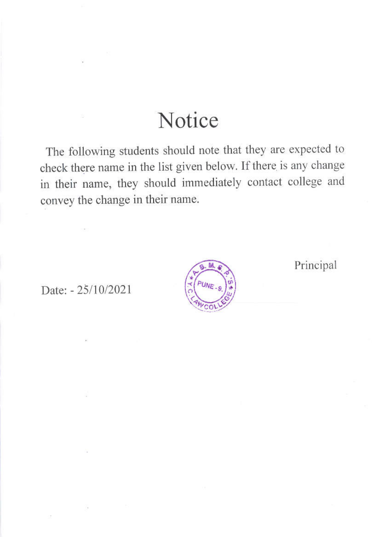## Notice

The following students should note that they are expected to check there name in the list given below. If there is any change in their name, they should immediately contact college and convey the change in their name.

Date: - 25/10/2021



Principal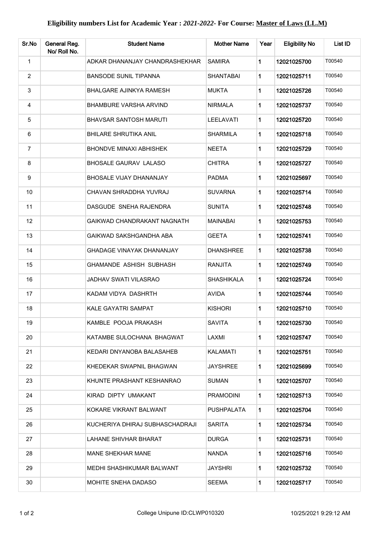| Sr.No          | General Reg.<br>No/ Roll No. | <b>Student Name</b>              | <b>Mother Name</b> | Year        | <b>Eligibility No</b> | List ID |
|----------------|------------------------------|----------------------------------|--------------------|-------------|-----------------------|---------|
| $\mathbf 1$    |                              | ADKAR DHANANJAY CHANDRASHEKHAR   | <b>SAMIRA</b>      | 1           | 12021025700           | T00540  |
| $\overline{2}$ |                              | <b>BANSODE SUNIL TIPANNA</b>     | <b>SHANTABAI</b>   | 1           | 12021025711           | T00540  |
| 3              |                              | <b>BHALGARE AJINKYA RAMESH</b>   | <b>MUKTA</b>       | 1           | 12021025726           | T00540  |
| 4              |                              | <b>BHAMBURE VARSHA ARVIND</b>    | <b>NIRMALA</b>     | 1           | 12021025737           | T00540  |
| 5              |                              | <b>BHAVSAR SANTOSH MARUTI</b>    | LEELAVATI          | 1           | 12021025720           | T00540  |
| 6              |                              | <b>BHILARE SHRUTIKA ANIL</b>     | <b>SHARMILA</b>    | 1           | 12021025718           | T00540  |
| $\overline{7}$ |                              | <b>BHONDVE MINAXI ABHISHEK</b>   | <b>NEETA</b>       | 1           | 12021025729           | T00540  |
| 8              |                              | <b>BHOSALE GAURAV LALASO</b>     | <b>CHITRA</b>      | 1           | 12021025727           | T00540  |
| 9              |                              | BHOSALE VIJAY DHANANJAY          | <b>PADMA</b>       | 1           | 12021025697           | T00540  |
| 10             |                              | CHAVAN SHRADDHA YUVRAJ           | <b>SUVARNA</b>     | 1           | 12021025714           | T00540  |
| 11             |                              | DASGUDE SNEHA RAJENDRA           | <b>SUNITA</b>      | 1           | 12021025748           | T00540  |
| 12             |                              | GAIKWAD CHANDRAKANT NAGNATH      | <b>MAINABAI</b>    | 1           | 12021025753           | T00540  |
| 13             |                              | GAIKWAD SAKSHGANDHA ABA          | <b>GEETA</b>       | 1           | 12021025741           | T00540  |
| 14             |                              | <b>GHADAGE VINAYAK DHANANJAY</b> | <b>DHANSHREE</b>   | 1           | 12021025738           | T00540  |
| 15             |                              | GHAMANDE ASHISH SUBHASH          | <b>RANJITA</b>     | 1           | 12021025749           | T00540  |
| 16             |                              | <b>JADHAV SWATI VILASRAO</b>     | SHASHIKALA         | 1           | 12021025724           | T00540  |
| 17             |                              | KADAM VIDYA DASHRTH              | <b>AVIDA</b>       | 1           | 12021025744           | T00540  |
| 18             |                              | <b>KALE GAYATRI SAMPAT</b>       | <b>KISHORI</b>     | 1           | 12021025710           | T00540  |
| 19             |                              | KAMBLE POOJA PRAKASH             | <b>SAVITA</b>      | 1           | 12021025730           | T00540  |
| 20             |                              | KATAMBE SULOCHANA BHAGWAT        | LAXMI              | 1           | 12021025747           | T00540  |
| 21             |                              | KEDARI DNYANOBA BALASAHEB        | <b>KALAMATI</b>    | 1.          | 12021025751           | T00540  |
| 22             |                              | KHEDEKAR SWAPNIL BHAGWAN         | <b>JAYSHREE</b>    | 1           | 12021025699           | T00540  |
| 23             |                              | KHUNTE PRASHANT KESHANRAO        | <b>SUMAN</b>       | 1           | 12021025707           | T00540  |
| 24             |                              | KIRAD DIPTY UMAKANT              | <b>PRAMODINI</b>   | $\mathbf 1$ | 12021025713           | T00540  |
| 25             |                              | KOKARE VIKRANT BALWANT           | PUSHPALATA         | 1           | 12021025704           | T00540  |
| 26             |                              | KUCHERIYA DHIRAJ SUBHASCHADRAJI  | <b>SARITA</b>      | 1           | 12021025734           | T00540  |
| 27             |                              | LAHANE SHIVHAR BHARAT            | <b>DURGA</b>       | 1           | 12021025731           | T00540  |
| 28             |                              | <b>MANE SHEKHAR MANE</b>         | <b>NANDA</b>       | 1           | 12021025716           | T00540  |
| 29             |                              | MEDHI SHASHIKUMAR BALWANT        | <b>JAYSHRI</b>     | 1           | 12021025732           | T00540  |
| 30             |                              | MOHITE SNEHA DADASO              | <b>SEEMA</b>       | 1           | 12021025717           | T00540  |